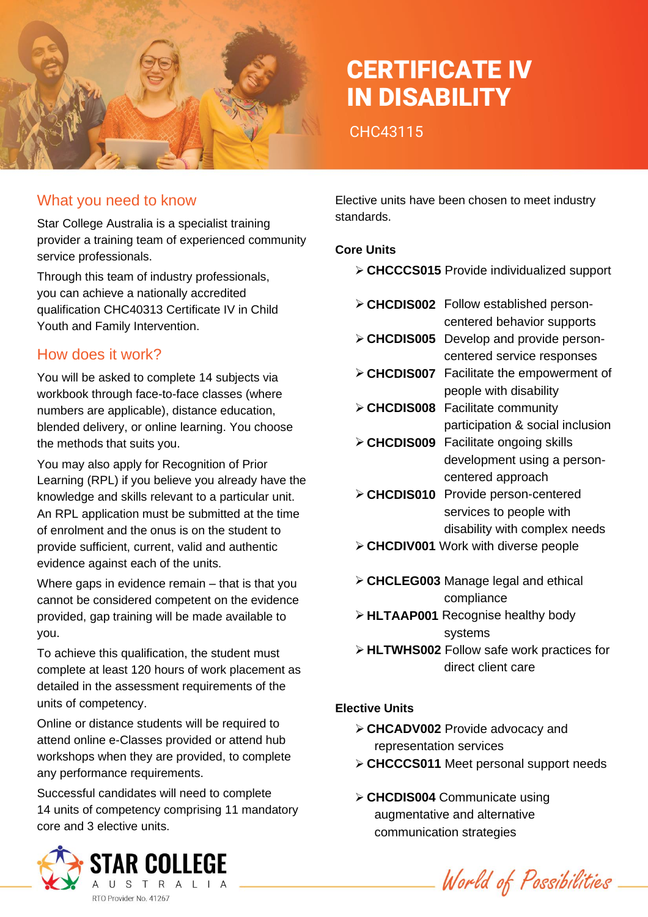

# CERTIFICATE IV IN DISABILITY

CHC43115

#### What you need to know

Star College Australia is a specialist training provider a training team of experienced community service professionals.

Through this team of industry professionals, you can achieve a nationally accredited qualification CHC40313 Certificate IV in Child Youth and Family Intervention.

#### How does it work?

You will be asked to complete 14 subjects via workbook through face-to-face classes (where numbers are applicable), distance education, blended delivery, or online learning. You choose the methods that suits you.

You may also apply for Recognition of Prior Learning (RPL) if you believe you already have the knowledge and skills relevant to a particular unit. An RPL application must be submitted at the time of enrolment and the onus is on the student to provide sufficient, current, valid and authentic evidence against each of the units.

Where gaps in evidence remain – that is that you cannot be considered competent on the evidence provided, gap training will be made available to you.

To achieve this qualification, the student must complete at least 120 hours of work placement as detailed in the assessment requirements of the units of competency.

Online or distance students will be required to attend online e-Classes provided or attend hub workshops when they are provided, to complete any performance requirements.

Successful candidates will need to complete 14 units of competency comprising 11 mandatory core and 3 elective units.



Elective units have been chosen to meet industry standards.

#### **Core Units**

- ➢ **CHCCCS015** Provide individualized support
- ➢ **CHCDIS002** Follow established person
	- centered behavior supports
- ➢ **CHCDIS005** Develop and provide personcentered service responses
- ➢ **CHCDIS007** Facilitate the empowerment of people with disability
- ➢ **CHCDIS008** Facilitate community participation & social inclusion
- ➢ **CHCDIS009** Facilitate ongoing skills development using a personcentered approach
- ➢ **CHCDIS010** Provide person-centered services to people with disability with complex needs
- ➢ **CHCDIV001** Work with diverse people
- ➢ **CHCLEG003** Manage legal and ethical compliance
- ➢ **HLTAAP001** Recognise healthy body systems
- ➢ **HLTWHS002** Follow safe work practices for direct client care

#### **Elective Units**

- ➢ **CHCADV002** Provide advocacy and representation services
- ➢ **CHCCCS011** Meet personal support needs
- ➢ **CHCDIS004** Communicate using augmentative and alternative communication strategies

World of Possibilities